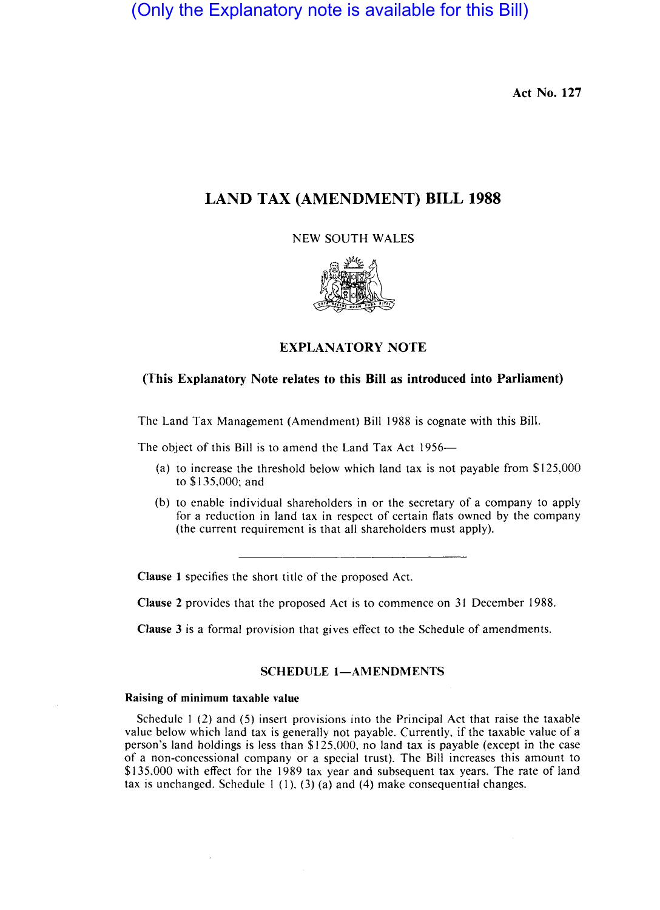(Only the Explanatory note is available for this Bill)

Act No. 127

# LAND TAX (AMENDMENT) BILL 1988

NEW SOUTH WALES



# EXPLANATORY NOTE

## (This Explanatory Note relates to this Bill as introduced into Parliament)

The Land Tax Management (Amendment) BiII 1988 is cognate with this Bill.

The object of this Bill is to amend the Land Tax Act 1956-

- (a) to increase the threshold below which land tax is not payable from \$125,000 to \$135,000; and
- (b) to enable individual shareholders in or the secretary of a company to apply for a reduction in land tax in respect of certain flats owned by the company (the current requirement is that all shareholders must apply).

Clause I specifies the short title of the proposed Act.

Clause 2 provides that the proposed Act is to commence on 31 December 1988.

Clause 3 is a formal provision that gives effect to the Schedule of amendments.

#### SCHEDULE 1-AMENDMENTS

### Raising of minimum taxable value

Schedule I (2) and (5) insert provisions into the Principal Act that raise the taxable value below which land tax is generally not payable. Currently, if the taxable value of a person's land holdings is less than \$125,000, no land tax is payable (except in the case of a non-concessional company or a special trust). The BiII increases this amount to \$135,000 with effect for the 1989 tax year and subsequent tax years. The rate of land tax is unchanged. Schedule  $1(1)$ ,  $(3)(a)$  and  $(4)$  make consequential changes.